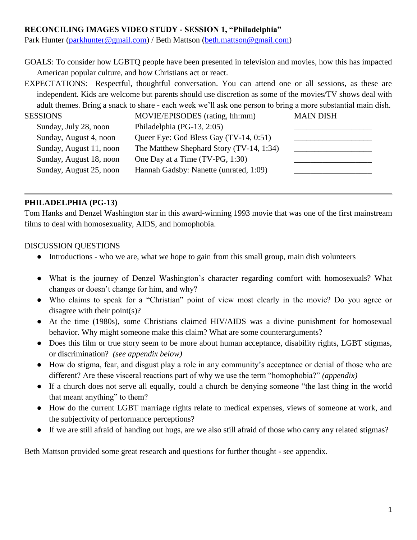# **RECONCILING IMAGES VIDEO STUDY - SESSION 1, "Philadelphia"**

Park Hunter [\(parkhunter@gmail.com\)](mailto:parkhunter@gmail.com) / Beth Mattson [\(beth.mattson@gmail.com\)](mailto:beth.mattson@gmail.com)

GOALS: To consider how LGBTQ people have been presented in television and movies, how this has impacted American popular culture, and how Christians act or react.

EXPECTATIONS: Respectful, thoughtful conversation. You can attend one or all sessions, as these are independent. Kids are welcome but parents should use discretion as some of the movies/TV shows deal with adult themes. Bring a snack to share - each week we'll ask one person to bring a more substantial main dish.

| <b>SESSIONS</b>         | MOVIE/EPISODES (rating, hh:mm)           | <b>MAIN DISH</b> |
|-------------------------|------------------------------------------|------------------|
| Sunday, July 28, noon   | Philadelphia (PG-13, 2:05)               |                  |
| Sunday, August 4, noon  | Queer Eye: God Bless Gay (TV-14, 0:51)   |                  |
| Sunday, August 11, noon | The Matthew Shephard Story (TV-14, 1:34) |                  |
| Sunday, August 18, noon | One Day at a Time (TV-PG, 1:30)          |                  |
| Sunday, August 25, noon | Hannah Gadsby: Nanette (unrated, 1:09)   |                  |
|                         |                                          |                  |

# **PHILADELPHIA (PG-13)**

Tom Hanks and Denzel Washington star in this award-winning 1993 movie that was one of the first mainstream films to deal with homosexuality, AIDS, and homophobia.

### DISCUSSION QUESTIONS

- Introductions who we are, what we hope to gain from this small group, main dish volunteers
- What is the journey of Denzel Washington's character regarding comfort with homosexuals? What changes or doesn't change for him, and why?
- Who claims to speak for a "Christian" point of view most clearly in the movie? Do you agree or disagree with their point(s)?
- At the time (1980s), some Christians claimed HIV/AIDS was a divine punishment for homosexual behavior. Why might someone make this claim? What are some counterarguments?
- Does this film or true story seem to be more about human acceptance, disability rights, LGBT stigmas, or discrimination? *(see appendix below)*
- How do stigma, fear, and disgust play a role in any community's acceptance or denial of those who are different? Are these visceral reactions part of why we use the term "homophobia?" *(appendix)*
- If a church does not serve all equally, could a church be denying someone "the last thing in the world that meant anything" to them?
- How do the current LGBT marriage rights relate to medical expenses, views of someone at work, and the subjectivity of performance perceptions?
- If we are still afraid of handing out hugs, are we also still afraid of those who carry any related stigmas?

Beth Mattson provided some great research and questions for further thought - see appendix.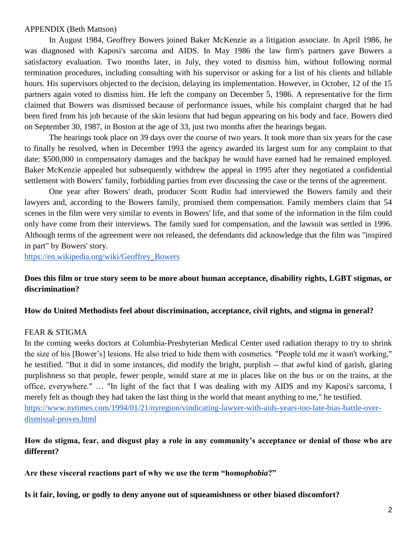#### APPENDIX (Beth Mattson)

In August 1984, Geoffrey Bowers joined Baker McKenzie as a litigation associate. In April 1986, he was diagnosed with Kaposi's sarcoma and AIDS. In May 1986 the law firm's partners gave Bowers a satisfactory evaluation. Two months later, in July, they voted to dismiss him, without following normal termination procedures, including consulting with his supervisor or asking for a list of his clients and billable hours. His supervisors objected to the decision, delaying its implementation. However, in October, 12 of the 15 partners again voted to dismiss him. He left the company on December 5, 1986. A representative for the firm claimed that Bowers was dismissed because of performance issues, while his complaint charged that he had been fired from his job because of the skin lesions that had begun appearing on his body and face. Bowers died on September 30, 1987, in Boston at the age of 33, just two months after the hearings began.

The hearings took place on 39 days over the course of two years. It took more than six years for the case to finally be resolved, when in December 1993 the agency awarded its largest sum for any complaint to that date: \$500,000 in compensatory damages and the backpay he would have earned had he remained employed. Baker McKenzie appealed but subsequently withdrew the appeal in 1995 after they negotiated a confidential settlement with Bowers' family, forbidding parties from ever discussing the case or the terms of the agreement.

One year after Bowers' death, producer Scott Rudin had interviewed the Bowers family and their lawyers and, according to the Bowers family, promised them compensation. Family members claim that 54 scenes in the film were very similar to events in Bowers' life, and that some of the information in the film could only have come from their interviews. The family sued for compensation, and the lawsuit was settled in 1996. Although terms of the agreement were not released, the defendants did acknowledge that the film was "inspired in part" by Bowers' story.

[https://en.wikipedia.org/wiki/Geoffrey\\_Bowers](https://en.wikipedia.org/wiki/Geoffrey_Bowers)

### **Does this film or true story seem to be more about human acceptance, disability rights, LGBT stigmas, or discrimination?**

#### **How do United Methodists feel about discrimination, acceptance, civil rights, and stigma in general?**

#### FEAR & STIGMA

In the coming weeks doctors at Columbia-Presbyterian Medical Center used radiation therapy to try to shrink the size of his [Bower's] lesions. He also tried to hide them with cosmetics. "People told me it wasn't working," he testified. "But it did in some instances, did modify the bright, purplish -- that awful kind of garish, glaring purplishness so that people, fewer people, would stare at me in places like on the bus or on the trains, at the office, everywhere." … "In light of the fact that I was dealing with my AIDS and my Kaposi's sarcoma, I merely felt as though they had taken the last thing in the world that meant anything to me," he testified. [https://www.nytimes.com/1994/01/21/nyregion/vindicating-lawyer-with-aids-years-too-late-bias-battle-over](https://www.nytimes.com/1994/01/21/nyregion/vindicating-lawyer-with-aids-years-too-late-bias-battle-over-dismissal-proves.html)[dismissal-proves.html](https://www.nytimes.com/1994/01/21/nyregion/vindicating-lawyer-with-aids-years-too-late-bias-battle-over-dismissal-proves.html)

# **How do stigma, fear, and disgust play a role in any community's acceptance or denial of those who are different?**

**Are these visceral reactions part of why we use the term "homo***phobia***?"** 

**Is it fair, loving, or godly to deny anyone out of squeamishness or other biased discomfort?**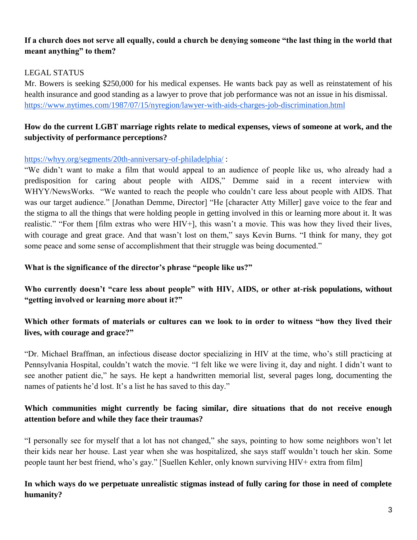# **If a church does not serve all equally, could a church be denying someone "the last thing in the world that meant anything" to them?**

# LEGAL STATUS

Mr. Bowers is seeking \$250,000 for his medical expenses. He wants back pay as well as reinstatement of his health insurance and good standing as a lawyer to prove that job performance was not an issue in his dismissal. <https://www.nytimes.com/1987/07/15/nyregion/lawyer-with-aids-charges-job-discrimination.html>

# **How do the current LGBT marriage rights relate to medical expenses, views of someone at work, and the subjectivity of performance perceptions?**

### <https://whyy.org/segments/20th-anniversary-of-philadelphia/> :

"We didn't want to make a film that would appeal to an audience of people like us, who already had a predisposition for caring about people with AIDS," Demme said in a recent interview with WHYY/NewsWorks. "We wanted to reach the people who couldn't care less about people with AIDS. That was our target audience." [Jonathan Demme, Director] "He [character Atty Miller] gave voice to the fear and the stigma to all the things that were holding people in getting involved in this or learning more about it. It was realistic." "For them [film extras who were HIV+], this wasn't a movie. This was how they lived their lives, with courage and great grace. And that wasn't lost on them," says Kevin Burns. "I think for many, they got some peace and some sense of accomplishment that their struggle was being documented."

### **What is the significance of the director's phrase "people like us?"**

**Who currently doesn't "care less about people" with HIV, AIDS, or other at-risk populations, without "getting involved or learning more about it?"**

# **Which other formats of materials or cultures can we look to in order to witness "how they lived their lives, with courage and grace?"**

"Dr. Michael Braffman, an infectious disease doctor specializing in HIV at the time, who's still practicing at Pennsylvania Hospital, couldn't watch the movie. "I felt like we were living it, day and night. I didn't want to see another patient die," he says. He kept a handwritten memorial list, several pages long, documenting the names of patients he'd lost. It's a list he has saved to this day."

# **Which communities might currently be facing similar, dire situations that do not receive enough attention before and while they face their traumas?**

"I personally see for myself that a lot has not changed," she says, pointing to how some neighbors won't let their kids near her house. Last year when she was hospitalized, she says staff wouldn't touch her skin. Some people taunt her best friend, who's gay." [Suellen Kehler, only known surviving HIV+ extra from film]

# **In which ways do we perpetuate unrealistic stigmas instead of fully caring for those in need of complete humanity?**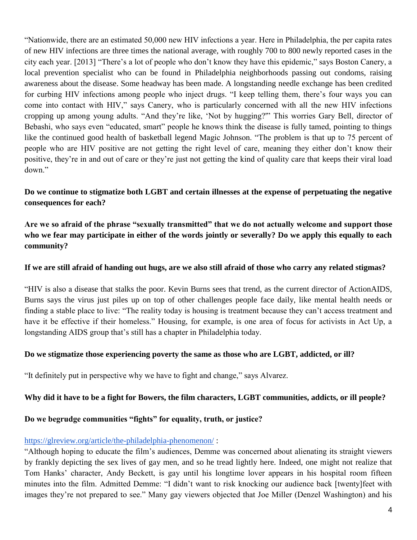"Nationwide, there are an estimated 50,000 new HIV infections a year. Here in Philadelphia, the per capita rates of new HIV infections are three times the national average, with roughly 700 to 800 newly reported cases in the city each year. [2013] "There's a lot of people who don't know they have this epidemic," says Boston Canery, a local prevention specialist who can be found in Philadelphia neighborhoods passing out condoms, raising awareness about the disease. Some headway has been made. A longstanding needle exchange has been credited for curbing HIV infections among people who inject drugs. "I keep telling them, there's four ways you can come into contact with HIV," says Canery, who is particularly concerned with all the new HIV infections cropping up among young adults. "And they're like, 'Not by hugging?'" This worries Gary Bell, director of Bebashi, who says even "educated, smart" people he knows think the disease is fully tamed, pointing to things like the continued good health of basketball legend Magic Johnson. "The problem is that up to 75 percent of people who are HIV positive are not getting the right level of care, meaning they either don't know their positive, they're in and out of care or they're just not getting the kind of quality care that keeps their viral load down."

**Do we continue to stigmatize both LGBT and certain illnesses at the expense of perpetuating the negative consequences for each?** 

**Are we so afraid of the phrase "sexually transmitted" that we do not actually welcome and support those who we fear may participate in either of the words jointly or severally? Do we apply this equally to each community?**

### **If we are still afraid of handing out hugs, are we also still afraid of those who carry any related stigmas?**

"HIV is also a disease that stalks the poor. Kevin Burns sees that trend, as the current director of ActionAIDS, Burns says the virus just piles up on top of other challenges people face daily, like mental health needs or finding a stable place to live: "The reality today is housing is treatment because they can't access treatment and have it be effective if their homeless." Housing, for example, is one area of focus for activists in Act Up, a longstanding AIDS group that's still has a chapter in Philadelphia today.

### **Do we stigmatize those experiencing poverty the same as those who are LGBT, addicted, or ill?**

"It definitely put in perspective why we have to fight and change," says Alvarez.

### **Why did it have to be a fight for Bowers, the film characters, LGBT communities, addicts, or ill people?**

### **Do we begrudge communities "fights" for equality, truth, or justice?**

### <https://glreview.org/article/the-philadelphia-phenomenon/> :

"Although hoping to educate the film's audiences, Demme was concerned about alienating its straight viewers by frankly depicting the sex lives of gay men, and so he tread lightly here. Indeed, one might not realize that Tom Hanks' character, Andy Beckett, is gay until his longtime lover appears in his hospital room fifteen minutes into the film. Admitted Demme: "I didn't want to risk knocking our audience back [twenty]feet with images they're not prepared to see." Many gay viewers objected that Joe Miller (Denzel Washington) and his